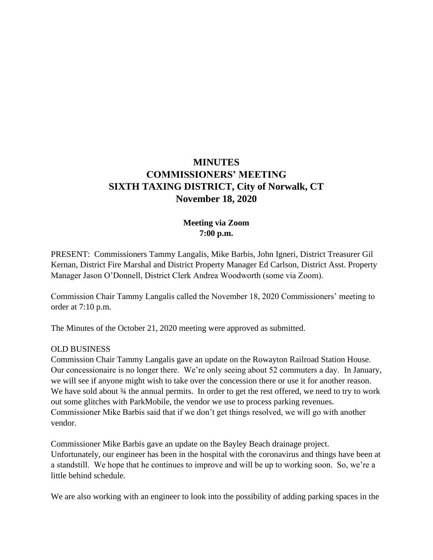# **MINUTES COMMISSIONERS' MEETING SIXTH TAXING DISTRICT, City of Norwalk, CT November 18, 2020**

# **Meeting via Zoom 7:00 p.m.**

PRESENT: Commissioners Tammy Langalis, Mike Barbis, John Igneri, District Treasurer Gil Kernan, District Fire Marshal and District Property Manager Ed Carlson, District Asst. Property Manager Jason O'Donnell, District Clerk Andrea Woodworth (some via Zoom).

Commission Chair Tammy Langalis called the November 18, 2020 Commissioners' meeting to order at 7:10 p.m.

The Minutes of the October 21, 2020 meeting were approved as submitted.

#### OLD BUSINESS

Commission Chair Tammy Langalis gave an update on the Rowayton Railroad Station House. Our concessionaire is no longer there. We're only seeing about 52 commuters a day. In January, we will see if anyone might wish to take over the concession there or use it for another reason. We have sold about  $\frac{3}{4}$  the annual permits. In order to get the rest offered, we need to try to work out some glitches with ParkMobile, the vendor we use to process parking revenues. Commissioner Mike Barbis said that if we don't get things resolved, we will go with another vendor.

Commissioner Mike Barbis gave an update on the Bayley Beach drainage project. Unfortunately, our engineer has been in the hospital with the coronavirus and things have been at a standstill. We hope that he continues to improve and will be up to working soon. So, we're a little behind schedule.

We are also working with an engineer to look into the possibility of adding parking spaces in the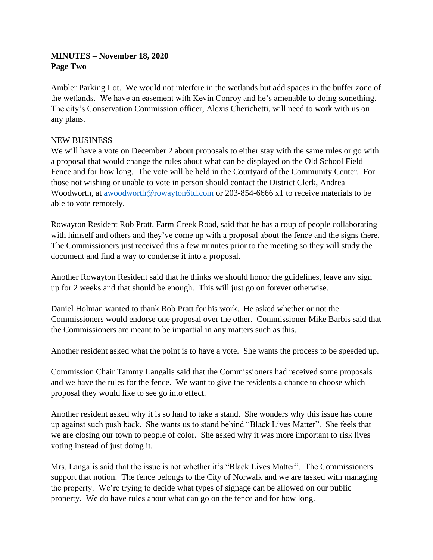## **MINUTES – November 18, 2020 Page Two**

Ambler Parking Lot. We would not interfere in the wetlands but add spaces in the buffer zone of the wetlands. We have an easement with Kevin Conroy and he's amenable to doing something. The city's Conservation Commission officer, Alexis Cherichetti, will need to work with us on any plans.

## NEW BUSINESS

We will have a vote on December 2 about proposals to either stay with the same rules or go with a proposal that would change the rules about what can be displayed on the Old School Field Fence and for how long. The vote will be held in the Courtyard of the Community Center. For those not wishing or unable to vote in person should contact the District Clerk, Andrea Woodworth, at [awoodworth@rowayton6td.com](mailto:awoodworth@rowayton6td.com) or 203-854-6666 x1 to receive materials to be able to vote remotely.

Rowayton Resident Rob Pratt, Farm Creek Road, said that he has a roup of people collaborating with himself and others and they've come up with a proposal about the fence and the signs there. The Commissioners just received this a few minutes prior to the meeting so they will study the document and find a way to condense it into a proposal.

Another Rowayton Resident said that he thinks we should honor the guidelines, leave any sign up for 2 weeks and that should be enough. This will just go on forever otherwise.

Daniel Holman wanted to thank Rob Pratt for his work. He asked whether or not the Commissioners would endorse one proposal over the other. Commissioner Mike Barbis said that the Commissioners are meant to be impartial in any matters such as this.

Another resident asked what the point is to have a vote. She wants the process to be speeded up.

Commission Chair Tammy Langalis said that the Commissioners had received some proposals and we have the rules for the fence. We want to give the residents a chance to choose which proposal they would like to see go into effect.

Another resident asked why it is so hard to take a stand. She wonders why this issue has come up against such push back. She wants us to stand behind "Black Lives Matter". She feels that we are closing our town to people of color. She asked why it was more important to risk lives voting instead of just doing it.

Mrs. Langalis said that the issue is not whether it's "Black Lives Matter". The Commissioners support that notion. The fence belongs to the City of Norwalk and we are tasked with managing the property. We're trying to decide what types of signage can be allowed on our public property. We do have rules about what can go on the fence and for how long.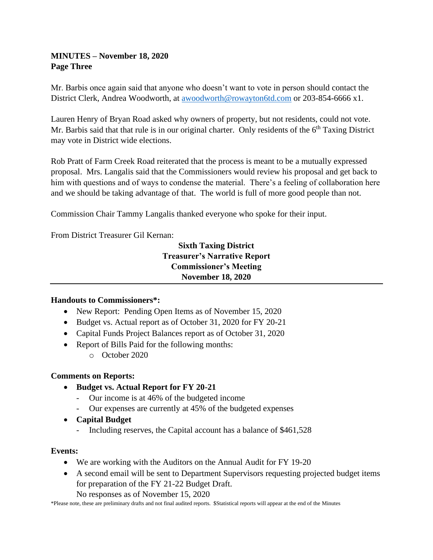## **MINUTES – November 18, 2020 Page Three**

Mr. Barbis once again said that anyone who doesn't want to vote in person should contact the District Clerk, Andrea Woodworth, at [awoodworth@rowayton6td.com](mailto:awoodworth@rowayton6td.com) or 203-854-6666 x1.

Lauren Henry of Bryan Road asked why owners of property, but not residents, could not vote. Mr. Barbis said that that rule is in our original charter. Only residents of the  $6<sup>th</sup>$  Taxing District may vote in District wide elections.

Rob Pratt of Farm Creek Road reiterated that the process is meant to be a mutually expressed proposal. Mrs. Langalis said that the Commissioners would review his proposal and get back to him with questions and of ways to condense the material. There's a feeling of collaboration here and we should be taking advantage of that. The world is full of more good people than not.

Commission Chair Tammy Langalis thanked everyone who spoke for their input.

From District Treasurer Gil Kernan:

# **Sixth Taxing District Treasurer's Narrative Report Commissioner's Meeting November 18, 2020**

# **Handouts to Commissioners\*:**

- New Report: Pending Open Items as of November 15, 2020
- Budget vs. Actual report as of October 31, 2020 for FY 20-21
- Capital Funds Project Balances report as of October 31, 2020
- Report of Bills Paid for the following months:
	- o October 2020

### **Comments on Reports:**

- **Budget vs. Actual Report for FY 20-21**
	- Our income is at 46% of the budgeted income
	- Our expenses are currently at 45% of the budgeted expenses
- **Capital Budget**
	- Including reserves, the Capital account has a balance of \$461,528

### **Events:**

- We are working with the Auditors on the Annual Audit for FY 19-20
- A second email will be sent to Department Supervisors requesting projected budget items for preparation of the FY 21-22 Budget Draft.

No responses as of November 15, 2020

\*Please note, these are preliminary drafts and not final audited reports. \$Statistical reports will appear at the end of the Minutes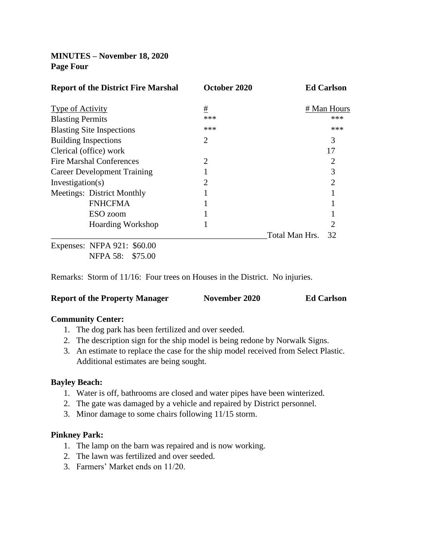## **MINUTES – November 18, 2020 Page Four**

| <b>Report of the District Fire Marshal</b> | October 2020   | <b>Ed Carlson</b>    |
|--------------------------------------------|----------------|----------------------|
| Type of Activity                           | #              | # Man Hours          |
| <b>Blasting Permits</b>                    | ***            | ***                  |
| <b>Blasting Site Inspections</b>           | ***            | ***                  |
| <b>Building Inspections</b>                | $\overline{2}$ | 3                    |
| Clerical (office) work                     |                | 17                   |
| Fire Marshal Conferences                   | $\overline{2}$ | 2                    |
| <b>Career Development Training</b>         |                | 3                    |
| Investigation(s)                           | 2              | $\overline{2}$       |
| Meetings: District Monthly                 |                |                      |
| <b>FNHCFMA</b>                             |                |                      |
| ESO zoom                                   |                |                      |
| <b>Hoarding Workshop</b>                   |                | 2                    |
|                                            |                | Total Man Hrs.<br>32 |
| Expenses: NFPA 921: \$60.00                |                |                      |

NFPA 58: \$75.00

Remarks: Storm of 11/16: Four trees on Houses in the District. No injuries.

#### **Report of the Property Manager November 2020 Ed Carlson**

#### **Community Center:**

- 1. The dog park has been fertilized and over seeded.
- 2. The description sign for the ship model is being redone by Norwalk Signs.
- 3. An estimate to replace the case for the ship model received from Select Plastic. Additional estimates are being sought.

#### **Bayley Beach:**

- 1. Water is off, bathrooms are closed and water pipes have been winterized.
- 2. The gate was damaged by a vehicle and repaired by District personnel.
- 3. Minor damage to some chairs following 11/15 storm.

#### **Pinkney Park:**

- 1. The lamp on the barn was repaired and is now working.
- 2. The lawn was fertilized and over seeded.
- 3. Farmers' Market ends on 11/20.